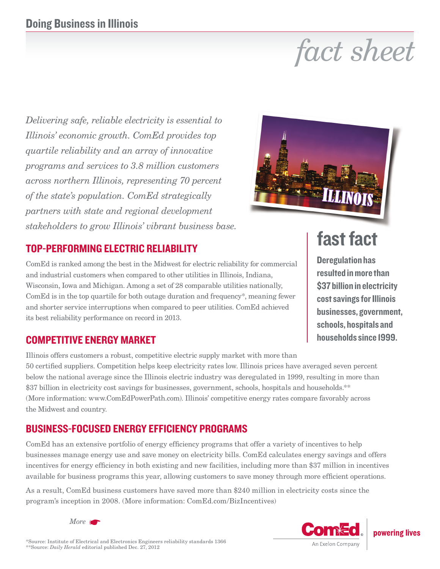# *fact sheet*

*Delivering safe, reliable electricity is essential to Illinois' economic growth. ComEd provides top quartile reliability and an array of innovative programs and services to 3.8 million customers across northern Illinois, representing 70 percent of the state's population. ComEd strategically partners with state and regional development stakeholders to grow Illinois' vibrant business base.*

### TOP-PERFORMING ELECTRIC RELIABILITY

ComEd is ranked among the best in the Midwest for electric reliability for commercial and industrial customers when compared to other utilities in Illinois, Indiana, Wisconsin, Iowa and Michigan. Among a set of 28 comparable utilities nationally, ComEd is in the top quartile for both outage duration and frequency\*, meaning fewer and shorter service interruptions when compared to peer utilities. ComEd achieved its best reliability performance on record in 2013.

### COMPETITIVE ENERGY MARKET

Illinois offers customers a robust, competitive electric supply market with more than 50 certified suppliers. Competition helps keep electricity rates low. Illinois prices have averaged seven percent below the national average since the Illinois electric industry was deregulated in 1999, resulting in more than \$37 billion in electricity cost savings for businesses, government, schools, hospitals and households.\*\* (More information: www.ComEdPowerPath.com). Illinois' competitive energy rates compare favorably across the Midwest and country.

### BUSINESS-FOCUSED ENERGY EFFICIENCY PROGRAMS

ComEd has an extensive portfolio of energy efficiency programs that offer a variety of incentives to help businesses manage energy use and save money on electricity bills. ComEd calculates energy savings and offers incentives for energy efficiency in both existing and new facilities, including more than \$37 million in incentives available for business programs this year, allowing customers to save money through more efficient operations.

As a result, ComEd business customers have saved more than \$240 million in electricity costs since the program's inception in 2008. (More information: ComEd.com/BizIncentives)



*More* ☛



## fast fact

Deregulation has resulted in more than \$37 billion in electricity cost savings for Illinois businesses, government, schools, hospitals and households since 1999.